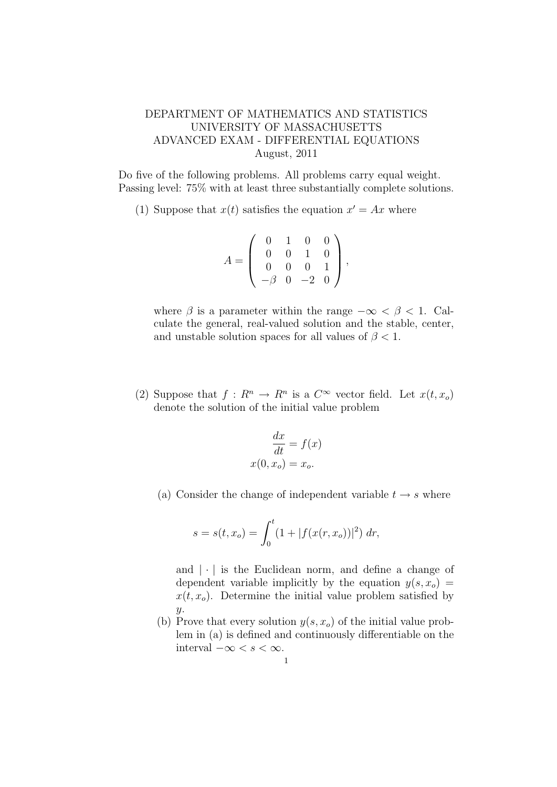## DEPARTMENT OF MATHEMATICS AND STATISTICS UNIVERSITY OF MASSACHUSETTS ADVANCED EXAM - DIFFERENTIAL EQUATIONS August, 2011

Do five of the following problems. All problems carry equal weight. Passing level: 75% with at least three substantially complete solutions.

(1) Suppose that  $x(t)$  satisfies the equation  $x' = Ax$  where

$$
A = \left(\begin{array}{rrr} 0 & 1 & 0 & 0 \\ 0 & 0 & 1 & 0 \\ 0 & 0 & 0 & 1 \\ -\beta & 0 & -2 & 0 \end{array}\right),
$$

where  $\beta$  is a parameter within the range  $-\infty < \beta < 1$ . Calculate the general, real-valued solution and the stable, center, and unstable solution spaces for all values of  $\beta$  < 1.

(2) Suppose that  $f: R^n \to R^n$  is a  $C^{\infty}$  vector field. Let  $x(t, x_o)$ denote the solution of the initial value problem

$$
\frac{dx}{dt} = f(x)
$$

$$
x(0, x_o) = x_o.
$$

(a) Consider the change of independent variable  $t \to s$  where

$$
s = s(t, x_o) = \int_0^t (1 + |f(x(r, x_o))|^2) dr,
$$

and  $|\cdot|$  is the Euclidean norm, and define a change of dependent variable implicitly by the equation  $y(s, x_o)$  =  $x(t, x_o)$ . Determine the initial value problem satisfied by  $y$ .

(b) Prove that every solution  $y(s, x_o)$  of the initial value problem in (a) is defined and continuously differentiable on the interval  $-\infty < s < \infty$ .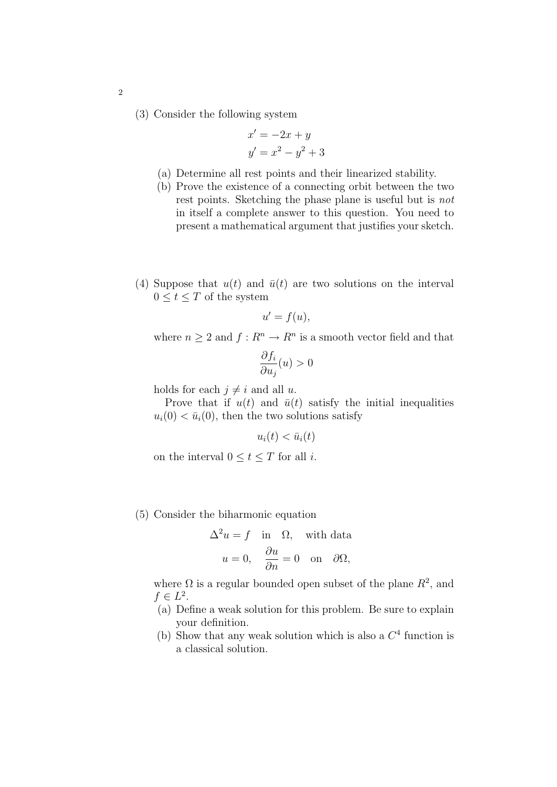(3) Consider the following system

$$
x' = -2x + y
$$

$$
y' = x2 - y2 + 3
$$

- (a) Determine all rest points and their linearized stability.
- (b) Prove the existence of a connecting orbit between the two rest points. Sketching the phase plane is useful but is not in itself a complete answer to this question. You need to present a mathematical argument that justifies your sketch.
- (4) Suppose that  $u(t)$  and  $\bar{u}(t)$  are two solutions on the interval  $0 \leq t \leq T$  of the system

$$
u'=f(u),
$$

where  $n \geq 2$  and  $f: R^n \to R^n$  is a smooth vector field and that

$$
\frac{\partial f_i}{\partial u_j}(u) > 0
$$

holds for each  $j \neq i$  and all u.

Prove that if  $u(t)$  and  $\bar{u}(t)$  satisfy the initial inequalities  $u_i(0) < \bar{u}_i(0)$ , then the two solutions satisfy

$$
u_i(t) < \bar{u}_i(t)
$$

on the interval  $0 \le t \le T$  for all *i*.

(5) Consider the biharmonic equation

$$
\Delta^2 u = f \quad \text{in} \quad \Omega, \quad \text{with data}
$$

$$
u = 0, \quad \frac{\partial u}{\partial n} = 0 \quad \text{on} \quad \partial \Omega,
$$

where  $\Omega$  is a regular bounded open subset of the plane  $R^2$ , and  $f \in L^2$ .

- (a) Define a weak solution for this problem. Be sure to explain your definition.
- (b) Show that any weak solution which is also a  $C<sup>4</sup>$  function is a classical solution.

2